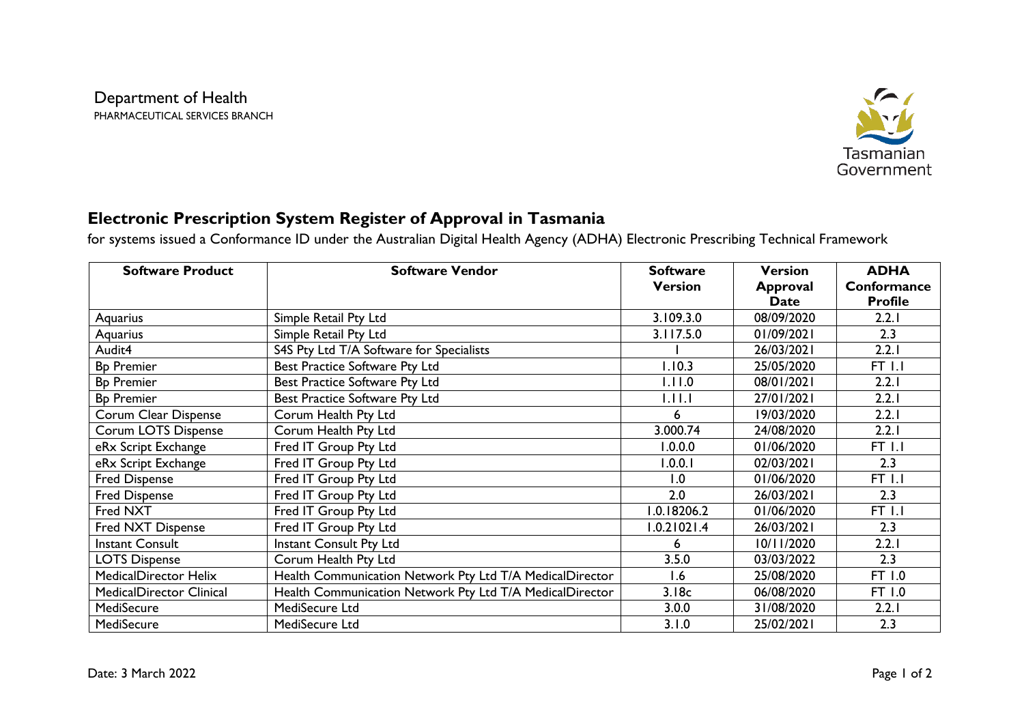

## **Electronic Prescription System Register of Approval in Tasmania**

for systems issued a Conformance ID under the Australian Digital Health Agency (ADHA) Electronic Prescribing Technical Framework

| <b>Software Product</b>         | <b>Software Vendor</b>                                   | <b>Software</b> | <b>Version</b>  | <b>ADHA</b>    |
|---------------------------------|----------------------------------------------------------|-----------------|-----------------|----------------|
|                                 |                                                          | <b>Version</b>  | <b>Approval</b> | Conformance    |
|                                 |                                                          |                 | <b>Date</b>     | <b>Profile</b> |
| Aquarius                        | Simple Retail Pty Ltd                                    | 3.109.3.0       | 08/09/2020      | 2.2.1          |
| Aquarius                        | Simple Retail Pty Ltd                                    | 3.117.5.0       | 01/09/2021      | 2.3            |
| Audit4                          | S4S Pty Ltd T/A Software for Specialists                 |                 | 26/03/2021      | 2.2.1          |
| <b>Bp Premier</b>               | Best Practice Software Pty Ltd                           | 1.10.3          | 25/05/2020      | FT 1.1         |
| <b>Bp Premier</b>               | Best Practice Software Pty Ltd                           | 1.11.0          | 08/01/2021      | 2.2.1          |
| <b>Bp Premier</b>               | Best Practice Software Pty Ltd                           | 1.11.1          | 27/01/2021      | 2.2.1          |
| Corum Clear Dispense            | Corum Health Pty Ltd                                     | 6               | 19/03/2020      | 2.2.1          |
| <b>Corum LOTS Dispense</b>      | Corum Health Pty Ltd                                     | 3.000.74        | 24/08/2020      | 2.2.1          |
| eRx Script Exchange             | Fred IT Group Pty Ltd                                    | 1.0.0.0         | 01/06/2020      | FT 1.1         |
| eRx Script Exchange             | Fred IT Group Pty Ltd                                    | 1.0.0.1         | 02/03/2021      | 2.3            |
| Fred Dispense                   | Fred IT Group Pty Ltd                                    | 1.0             | 01/06/2020      | $FT$ $I.I$     |
| <b>Fred Dispense</b>            | Fred IT Group Pty Ltd                                    | 2.0             | 26/03/2021      | 2.3            |
| Fred NXT                        | Fred IT Group Pty Ltd                                    | 1.0.18206.2     | 01/06/2020      | <b>FT 1.1</b>  |
| Fred NXT Dispense               | Fred IT Group Pty Ltd                                    | 1.0.21021.4     | 26/03/2021      | 2.3            |
| <b>Instant Consult</b>          | Instant Consult Pty Ltd                                  | 6               | 10/11/2020      | 2.2.1          |
| <b>LOTS Dispense</b>            | Corum Health Pty Ltd                                     | 3.5.0           | 03/03/2022      | 2.3            |
| MedicalDirector Helix           | Health Communication Network Pty Ltd T/A MedicalDirector | 1.6             | 25/08/2020      | FT 1.0         |
| <b>MedicalDirector Clinical</b> | Health Communication Network Pty Ltd T/A MedicalDirector | 3.18c           | 06/08/2020      | FT 1.0         |
| MediSecure                      | MediSecure Ltd                                           | 3.0.0           | 31/08/2020      | 2.2.1          |
| MediSecure                      | MediSecure Ltd                                           | 3.1.0           | 25/02/2021      | 2.3            |